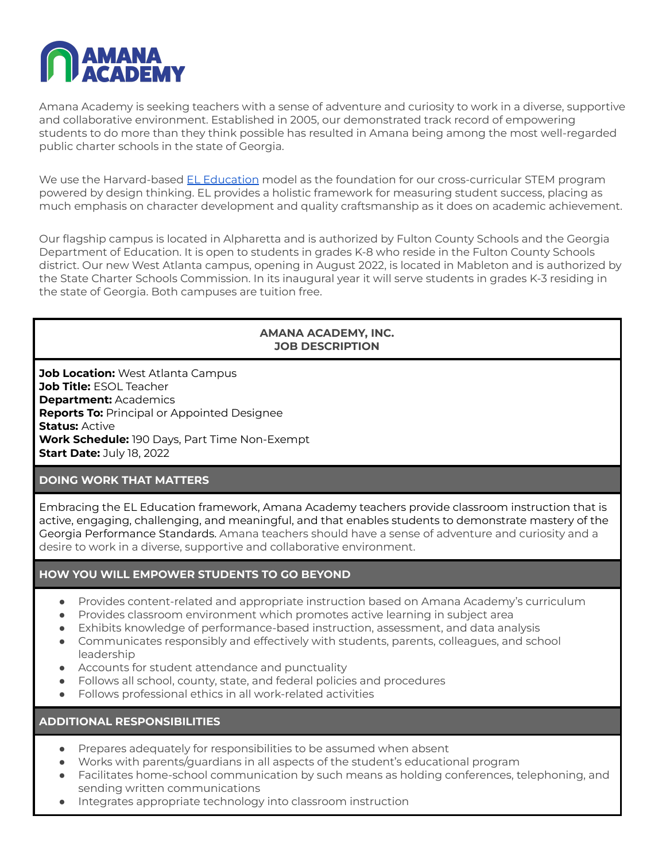

Amana Academy is seeking teachers with a sense of adventure and curiosity to work in a diverse, supportive and collaborative environment. Established in 2005, our demonstrated track record of empowering students to do more than they think possible has resulted in Amana being among the most well-regarded public charter schools in the state of Georgia.

We use the Harvard-based EL [Education](https://eleducation.org/) model as the foundation for our cross-curricular STEM program powered by design thinking. EL provides a holistic framework for measuring student success, placing as much emphasis on character development and quality craftsmanship as it does on academic achievement.

Our flagship campus is located in Alpharetta and is authorized by Fulton County Schools and the Georgia Department of Education. It is open to students in grades K-8 who reside in the Fulton County Schools district. Our new West Atlanta campus, opening in August 2022, is located in Mableton and is authorized by the State Charter Schools Commission. In its inaugural year it will serve students in grades K-3 residing in the state of Georgia. Both campuses are tuition free.

# **AMANA ACADEMY, INC. JOB DESCRIPTION**

**Job Location:** West Atlanta Campus **Job Title:** ESOL Teacher **Department:** Academics **Reports To:** Principal or Appointed Designee **Status:** Active **Work Schedule:** 190 Days, Part Time Non-Exempt **Start Date:** July 18, 2022

### **DOING WORK THAT MATTERS**

Embracing the EL Education framework, Amana Academy teachers provide classroom instruction that is active, engaging, challenging, and meaningful, and that enables students to demonstrate mastery of the Georgia Performance Standards. Amana teachers should have a sense of adventure and curiosity and a desire to work in a diverse, supportive and collaborative environment.

# **HOW YOU WILL EMPOWER STUDENTS TO GO BEYOND**

- Provides content-related and appropriate instruction based on Amana Academy's curriculum
- Provides classroom environment which promotes active learning in subject area
- Exhibits knowledge of performance-based instruction, assessment, and data analysis
- Communicates responsibly and effectively with students, parents, colleagues, and school leadership
- Accounts for student attendance and punctuality
- Follows all school, county, state, and federal policies and procedures
- Follows professional ethics in all work-related activities

**ADDITIONAL RESPONSIBILITIES**

- Prepares adequately for responsibilities to be assumed when absent
- Works with parents/guardians in all aspects of the student's educational program
- Facilitates home-school communication by such means as holding conferences, telephoning, and sending written communications
- Integrates appropriate technology into classroom instruction